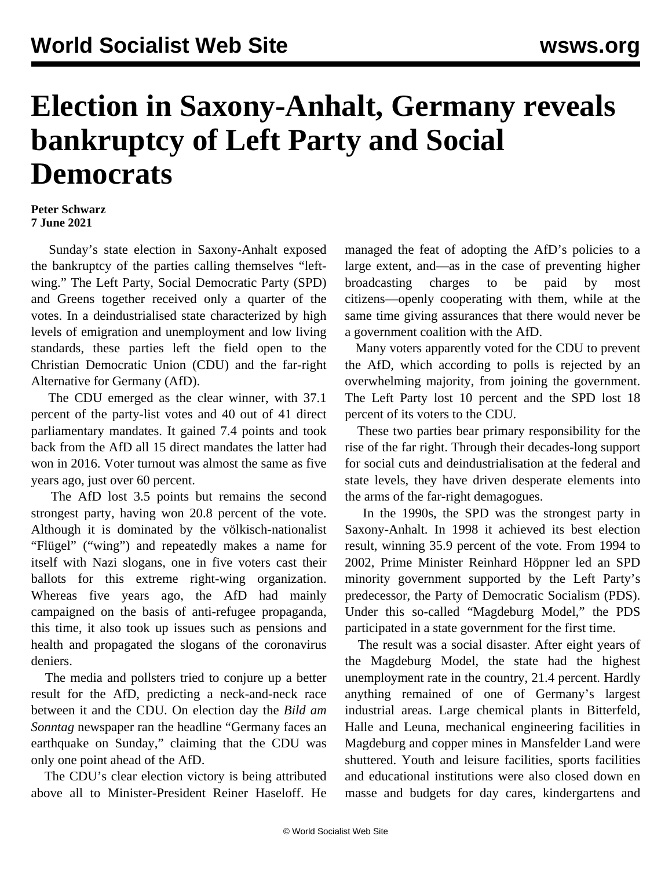## **Election in Saxony-Anhalt, Germany reveals bankruptcy of Left Party and Social Democrats**

## **Peter Schwarz 7 June 2021**

 Sunday's state election in Saxony-Anhalt exposed the bankruptcy of the parties calling themselves "leftwing." The Left Party, Social Democratic Party (SPD) and Greens together received only a quarter of the votes. In a deindustrialised state characterized by high levels of emigration and unemployment and low living standards, these parties left the field open to the Christian Democratic Union (CDU) and the far-right Alternative for Germany (AfD).

 The CDU emerged as the clear winner, with 37.1 percent of the party-list votes and 40 out of 41 direct parliamentary mandates. It gained 7.4 points and took back from the AfD all 15 direct mandates the latter had won in 2016. Voter turnout was almost the same as five years ago, just over 60 percent.

 The AfD lost 3.5 points but remains the second strongest party, having won 20.8 percent of the vote. Although it is dominated by the völkisch-nationalist "Flügel" ("wing") and repeatedly makes a name for itself with Nazi slogans, one in five voters cast their ballots for this extreme right-wing organization. Whereas five years ago, the AfD had mainly campaigned on the basis of anti-refugee propaganda, this time, it also took up issues such as pensions and health and propagated the slogans of the coronavirus deniers.

 The media and pollsters tried to conjure up a better result for the AfD, predicting a neck-and-neck race between it and the CDU. On election day the *Bild am Sonntag* newspaper ran the headline "Germany faces an earthquake on Sunday," claiming that the CDU was only one point ahead of the AfD.

 The CDU's clear election victory is being attributed above all to Minister-President Reiner Haseloff. He

managed the feat of adopting the AfD's policies to a large extent, and—as in the case of preventing higher broadcasting charges to be paid by most citizens—openly cooperating with them, while at the same time giving assurances that there would never be a government coalition with the AfD.

 Many voters apparently voted for the CDU to prevent the AfD, which according to polls is rejected by an overwhelming majority, from joining the government. The Left Party lost 10 percent and the SPD lost 18 percent of its voters to the CDU.

 These two parties bear primary responsibility for the rise of the far right. Through their decades-long support for social cuts and deindustrialisation at the federal and state levels, they have driven desperate elements into the arms of the far-right demagogues.

 In the 1990s, the SPD was the strongest party in Saxony-Anhalt. In 1998 it achieved its best election result, winning 35.9 percent of the vote. From 1994 to 2002, Prime Minister Reinhard Höppner led an SPD minority government supported by the Left Party's predecessor, the Party of Democratic Socialism (PDS). Under this so-called "Magdeburg Model," the PDS participated in a state government for the first time.

 The result was a social disaster. After eight years of the Magdeburg Model, the state had the highest unemployment rate in the country, 21.4 percent. Hardly anything remained of one of Germany's largest industrial areas. Large chemical plants in Bitterfeld, Halle and Leuna, mechanical engineering facilities in Magdeburg and copper mines in Mansfelder Land were shuttered. Youth and leisure facilities, sports facilities and educational institutions were also closed down en masse and budgets for day cares, kindergartens and